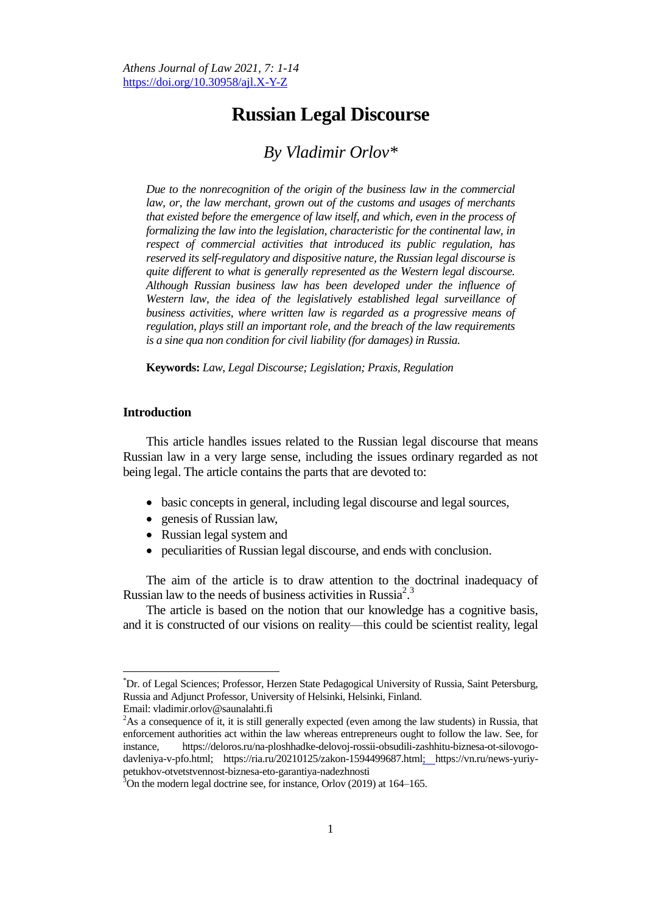# **Russian Legal Discourse**

## *By Vladimir Orlov\**

*Due to the nonrecognition of the origin of the business law in the commercial*  law, or, the law merchant, grown out of the customs and usages of merchants *that existed before the emergence of law itself, and which, even in the process of formalizing the law into the legislation, characteristic for the continental law, in respect of commercial activities that introduced its public regulation, has reserved its self-regulatory and dispositive nature, the Russian legal discourse is quite different to what is generally represented as the Western legal discourse. Although Russian business law has been developed under the influence of*  Western law, the idea of the legislatively established legal surveillance of *business activities, where written law is regarded as a progressive means of regulation, plays still an important role, and the breach of the law requirements is a sine qua non condition for civil liability (for damages) in Russia.*

**Keywords:** *Law, Legal Discourse; Legislation; Praxis, Regulation*

### **Introduction**

This article handles issues related to the Russian legal discourse that means Russian law in a very large sense, including the issues ordinary regarded as not being legal. The article contains the parts that are devoted to:

- basic concepts in general, including legal discourse and legal sources,
- genesis of Russian law,
- Russian legal system and
- peculiarities of Russian legal discourse, and ends with conclusion.

The aim of the article is to draw attention to the doctrinal inadequacy of Russian law to the needs of business activities in Russia<sup>2,3</sup>

The article is based on the notion that our knowledge has a cognitive basis, and it is constructed of our visions on reality—this could be scientist reality, legal

<sup>\*</sup>Dr. of Legal Sciences; Professor, Herzen State Pedagogical University of Russia, Saint Petersburg, Russia and Adjunct Professor, University of Helsinki, Helsinki, Finland.

Email: vladimir.orlov@saunalahti.fi

 ${}^{2}$ As a consequence of it, it is still generally expected (even among the law students) in Russia, that enforcement authorities act within the law whereas entrepreneurs ought to follow the law. See, for instance, https://deloros.ru/na-ploshhadke-delovoj-rossii-obsudili-zashhitu-biznesa-ot-silovogodavleniya-v-pfo.html; https://ria.ru/20210125/zakon-1594499687.html; https://vn.ru/news-yuriypetukhov-otvetstvennost-biznesa-eto-garantiya-nadezhnosti

 $3$ On the modern legal doctrine see, for instance, Orlov (2019) at 164–165.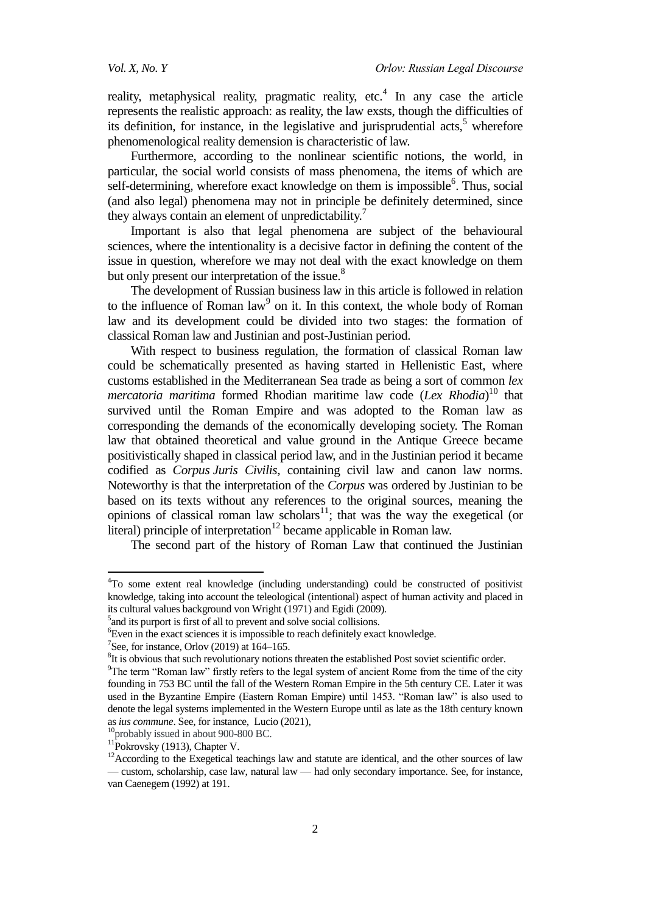reality, metaphysical reality, pragmatic reality, etc.<sup>4</sup> In any case the article represents the realistic approach: as reality, the law exsts, though the difficulties of its definition, for instance, in the legislative and jurisprudential  $\arcsin^5$  wherefore phenomenological reality demension is characteristic of law.

Furthermore, according to the nonlinear scientific notions, the world, in particular, the social world consists of mass phenomena, the items of which are self-determining, wherefore exact knowledge on them is impossible<sup>6</sup>. Thus, social (and also legal) phenomena may not in principle be definitely determined, since they always contain an element of unpredictability.<sup>7</sup>

Important is also that legal phenomena are subject of the behavioural sciences, where the intentionality is a decisive factor in defining the content of the issue in question, wherefore we may not deal with the exact knowledge on them but only present our interpretation of the issue.<sup>8</sup>

The development of Russian business law in this article is followed in relation to the influence of Roman law<sup>9</sup> on it. In this context, the whole body of Roman law and its development could be divided into two stages: the formation of classical Roman law and Justinian and post-Justinian period.

With respect to business regulation, the formation of classical Roman law could be schematically presented as having started in Hellenistic East, where customs established in the Mediterranean Sea trade as being a sort of common *lex mercatoria maritima* formed Rhodian maritime law code (*Lex Rhodia*) <sup>10</sup> that survived until the Roman Empire and was adopted to the Roman law as corresponding the demands of the economically developing society. The Roman law that obtained theoretical and value ground in the Antique Greece became positivistically shaped in classical period law, and in the Justinian period it became codified as *Corpus Juris Civilis*, containing civil law and canon law norms. Noteworthy is that the interpretation of the *Corpus* was ordered by Justinian to be based on its texts without any references to the original sources, meaning the opinions of classical roman law scholars<sup>11</sup>; that was the way the exegetical (or literal) principle of interpretation<sup>12</sup> became applicable in Roman law.

The second part of the history of Roman Law that continued the Justinian

<sup>10</sup>probably issued in about 900-800 BC.

 $\ddot{\phantom{a}}$ 

<sup>4</sup>To some extent real knowledge (including understanding) could be constructed of positivist knowledge, taking into account the teleological (intentional) aspect of human activity and placed in its cultural values background von Wright (1971) and Egidi (2009).

<sup>&</sup>lt;sup>5</sup> and its purport is first of all to prevent and solve social collisions.

<sup>&</sup>lt;sup>6</sup>Even in the exact sciences it is impossible to reach definitely exact knowledge.

<sup>&</sup>lt;sup>7</sup>See, for instance, Orlov (2019) at  $164-165$ .

 ${}^{8}$ It is obvious that such revolutionary notions threaten the established Post soviet scientific order.

 $9$ The term "Roman law" firstly refers to the legal system of ancient Rome from the time of the city founding in 753 BC until the fall of the Western Roman Empire in the 5th century CE. Later it was used in the Byzantine Empire (Eastern Roman Empire) until 1453. "Roman law" is also used to denote the legal systems implemented in the Western Europe until as late as the 18th century known as *ius commune*. See, for instance, Lucio (2021),

 $11$ Pokrovsky (1913), Chapter V.

 $12$ According to the Exegetical teachings law and statute are identical, and the other sources of law — custom, scholarship, case law, natural law — had only secondary importance. See, for instance, van Caenegem (1992) at 191.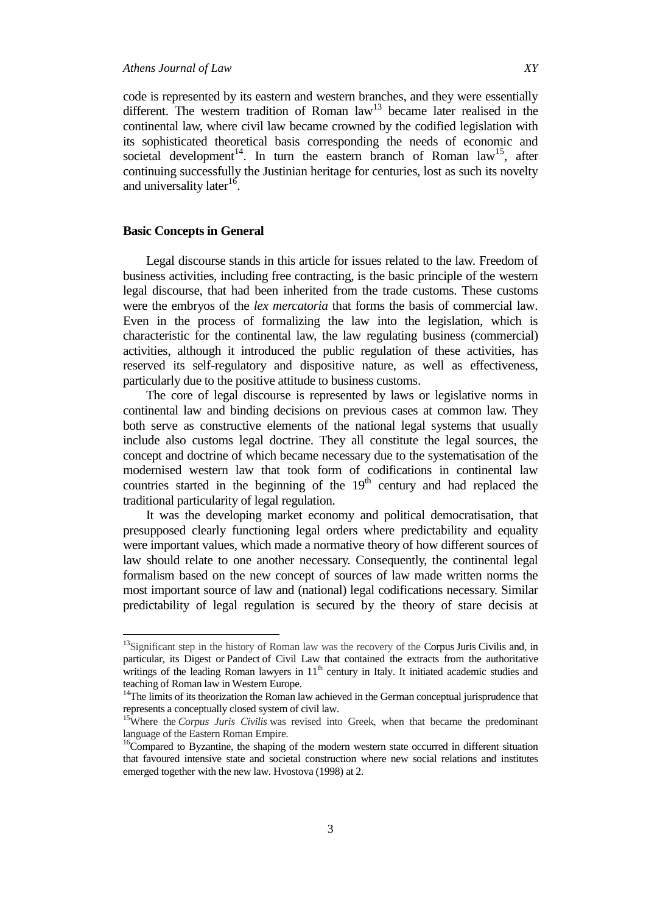code is represented by its eastern and western branches, and they were essentially different. The western tradition of Roman  $law<sup>13</sup>$  became later realised in the continental law, where civil law became crowned by the codified legislation with its sophisticated theoretical basis corresponding the needs of economic and societal development<sup>14</sup>. In turn the eastern branch of Roman law<sup>15</sup>, after continuing successfully the Justinian heritage for centuries, lost as such its novelty and universality later<sup>16</sup>.

### **Basic Concepts in General**

 $\overline{a}$ 

Legal discourse stands in this article for issues related to the law. Freedom of business activities, including free contracting, is the basic principle of the western legal discourse, that had been inherited from the trade customs. These customs were the embryos of the *lex mercatoria* that forms the basis of commercial law*.*  Even in the process of formalizing the law into the legislation, which is characteristic for the continental law, the law regulating business (commercial) activities, although it introduced the public regulation of these activities, has reserved its self-regulatory and dispositive nature, as well as effectiveness, particularly due to the positive attitude to business customs.

The core of legal discourse is represented by laws or legislative norms in continental law and binding decisions on previous cases at common law. They both serve as constructive elements of the national legal systems that usually include also customs legal doctrine. They all constitute the legal sources, the concept and doctrine of which became necessary due to the systematisation of the modernised western law that took form of codifications in continental law countries started in the beginning of the  $19<sup>th</sup>$  century and had replaced the traditional particularity of legal regulation.

It was the developing market economy and political democratisation, that presupposed clearly functioning legal orders where predictability and equality were important values, which made a normative theory of how different sources of law should relate to one another necessary. Consequently, the continental legal formalism based on the new concept of sources of law made written norms the most important source of law and (national) legal codifications necessary. Similar predictability of legal regulation is secured by the theory of stare decisis at

<sup>&</sup>lt;sup>13</sup>Significant step in the history of Roman law was the recovery of the Corpus Juris Civilis and, in particular, its Digest or Pandect of Civil Law that contained the extracts from the authoritative writings of the leading Roman lawyers in  $11<sup>th</sup>$  century in Italy. It initiated academic studies and teaching of Roman law in Western Europe.

<sup>&</sup>lt;sup>14</sup>The limits of its theorization the Roman law achieved in the German conceptual jurisprudence that represents a conceptually closed system of civil law.

<sup>&</sup>lt;sup>15</sup>Where the *Corpus Juris Civilis* was revised into Greek, when that became the predominant language of the Eastern Roman Empire.

<sup>&</sup>lt;sup>16</sup>Compared to Byzantine, the shaping of the modern western state occurred in different situation that favoured intensive state and societal construction where new social relations and institutes emerged together with the new law. Hvostova (1998) at 2.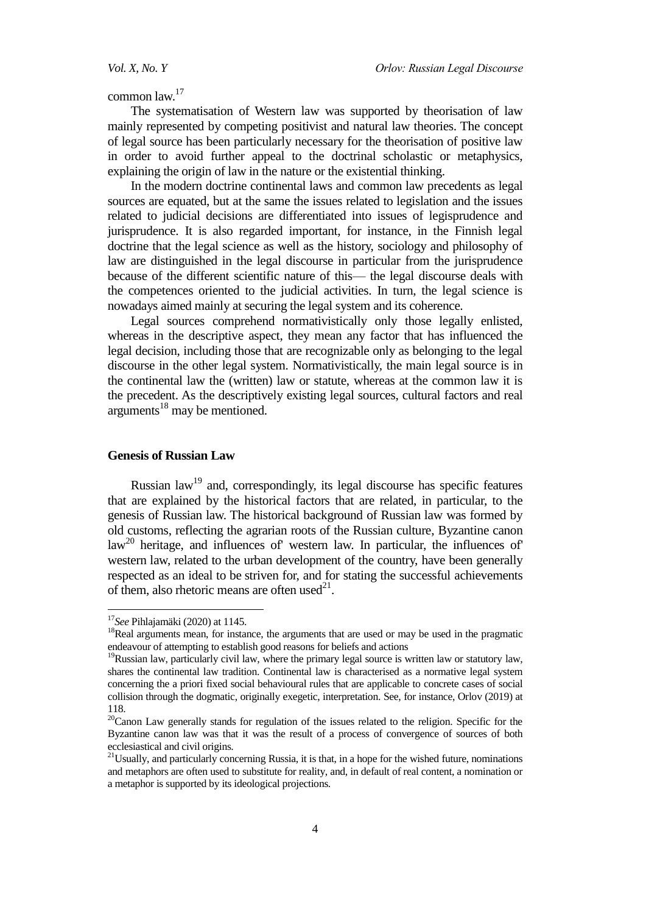common law.<sup>17</sup>

The systematisation of Western law was supported by theorisation of law mainly represented by competing positivist and natural law theories. The concept of legal source has been particularly necessary for the theorisation of positive law in order to avoid further appeal to the doctrinal scholastic or metaphysics, explaining the origin of law in the nature or the existential thinking.

In the modern doctrine continental laws and common law precedents as legal sources are equated, but at the same the issues related to legislation and the issues related to judicial decisions are differentiated into issues of legisprudence and jurisprudence. It is also regarded important, for instance, in the Finnish legal doctrine that the legal science as well as the history, sociology and philosophy of law are distinguished in the legal discourse in particular from the jurisprudence because of the different scientific nature of this— the legal discourse deals with the competences oriented to the judicial activities. In turn, the legal science is nowadays aimed mainly at securing the legal system and its coherence.

Legal sources comprehend normativistically only those legally enlisted, whereas in the descriptive aspect, they mean any factor that has influenced the legal decision, including those that are recognizable only as belonging to the legal discourse in the other legal system. Normativistically, the main legal source is in the continental law the (written) law or statute, whereas at the common law it is the precedent. As the descriptively existing legal sources, cultural factors and real  $arguments$ <sup>18</sup> may be mentioned.

### **Genesis of Russian Law**

Russian  $law<sup>19</sup>$  and, correspondingly, its legal discourse has specific features that are explained by the historical factors that are related, in particular, to the genesis of Russian law. The historical background of Russian law was formed by old customs, reflecting the agrarian roots of the Russian culture, Byzantine canon  $law<sup>20</sup>$  heritage, and influences of' western law. In particular, the influences of' western law, related to the urban development of the country, have been generally respected as an ideal to be striven for, and for stating the successful achievements of them, also rhetoric means are often used $^{21}$ .

<sup>17</sup>*See* Pihlajamäki (2020) at 1145.

<sup>&</sup>lt;sup>18</sup>Real arguments mean, for instance, the arguments that are used or may be used in the pragmatic endeavour of attempting to establish good reasons for beliefs and actions

 $19$ Russian law, particularly civil law, where the primary legal source is written law or statutory law, shares the continental law tradition. Continental law is characterised as a normative legal system concerning the a priori fixed social behavioural rules that are applicable to concrete cases of social collision through the dogmatic, originally exegetic, interpretation. See, for instance, Orlov (2019) at 118.

<sup>&</sup>lt;sup>20</sup>Canon Law generally stands for regulation of the issues related to the religion. Specific for the Byzantine canon law was that it was the result of a process of convergence of sources of both ecclesiastical and civil origins.

<sup>&</sup>lt;sup>21</sup>Usually, and particularly concerning Russia, it is that, in a hope for the wished future, nominations and metaphors are often used to substitute for reality, and, in default of real content, a nomination or a metaphor is supported by its ideological projections.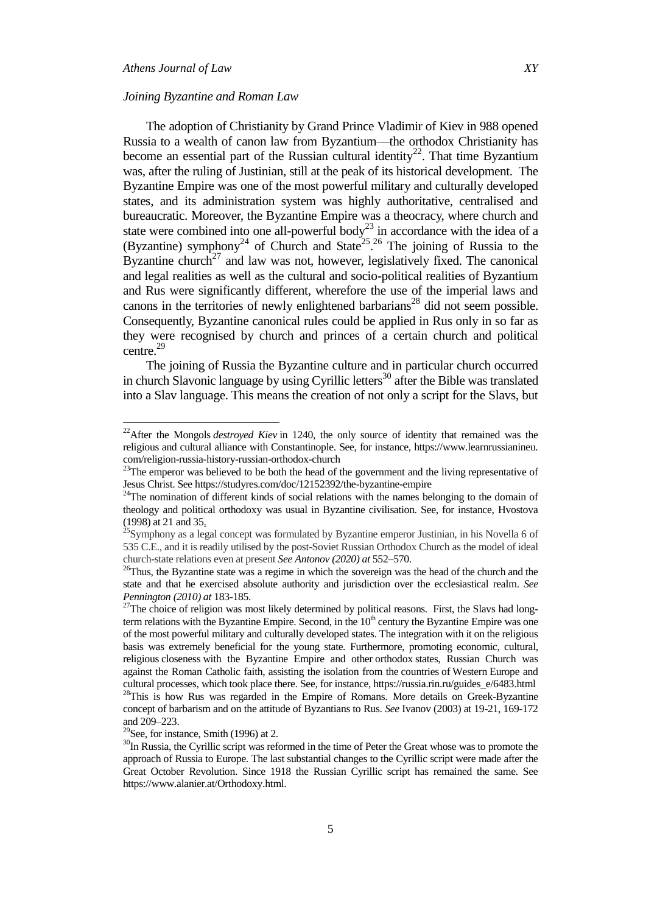$\overline{a}$ 

### *Joining Byzantine and Roman Law*

The adoption of Christianity by Grand Prince Vladimir of Kiev in 988 opened Russia to a wealth of canon law from Byzantium—the orthodox Christianity has become an essential part of the Russian cultural identity<sup>22</sup>. That time Byzantium was, after the ruling of Justinian, still at the peak of its historical development. The Byzantine Empire was one of the most powerful military and culturally developed states, and its administration system was highly authoritative, centralised and bureaucratic. Moreover, the Byzantine Empire was a theocracy, where church and state were combined into one all-powerful body<sup>23</sup> in accordance with the idea of a (Byzantine) symphony<sup>24</sup> of Church and State<sup>25, 26</sup> The joining of Russia to the Byzantine church<sup>27</sup> and law was not, however, legislatively fixed. The canonical and legal realities as well as the cultural and socio-political realities of Byzantium and Rus were significantly different, wherefore the use of the imperial laws and canons in the territories of newly enlightened barbarians<sup>28</sup> did not seem possible. Consequently, Byzantine canonical rules could be applied in Rus only in so far as they were recognised by church and princes of a certain church and political centre.<sup>29</sup>

The joining of Russia the Byzantine culture and in particular church occurred in church Slavonic language by using Cyrillic letters<sup>30</sup> after the Bible was translated into a Slav language. This means the creation of not only a script for the Slavs, but

<sup>&</sup>lt;sup>22</sup>After the Mongols *destroyed Kiev* in 1240, the only source of identity that remained was the religious and cultural alliance with Constantinople. See, for instance, https://www.learnrussianineu. com/religion-russia-history-russian-orthodox-church

<sup>&</sup>lt;sup>23</sup>The emperor was believed to be both the head of the government and the living representative of Jesus Christ. See https://studyres.com/doc/12152392/the-byzantine-empire

<sup>&</sup>lt;sup>24</sup>The nomination of different kinds of social relations with the names belonging to the domain of theology and political orthodoxy was usual in Byzantine civilisation. See, for instance, Hvostova (1998) at 21 and 35.

<sup>&</sup>lt;sup>25</sup>Symphony as a legal concept was formulated by Byzantine emperor Justinian, in his Novella 6 of 535 C.E., and it is readily utilised by the post-Soviet Russian Orthodox Church as the model of ideal church-state relations even at present *See Antonov (2020) at* 552–570.

<sup>&</sup>lt;sup>26</sup>Thus, the Byzantine state was a regime in which the sovereign was the head of the church and the state and that he exercised absolute authority and jurisdiction over the ecclesiastical realm. *See Pennington (2010) at* 183-185.

 $27$ The choice of religion was most likely determined by political reasons. First, the Slavs had longterm relations with the Byzantine Empire. Second, in the  $10<sup>th</sup>$  century the Byzantine Empire was one of the most powerful military and culturally developed states. The integration with it on the religious basis was extremely beneficial for the young state. Furthermore, promoting economic, cultural, religious closeness with the Byzantine Empire and other orthodox states, Russian Church was against the Roman Catholic faith, assisting the isolation from the countries of Western Europe and cultural processes, which took place there. See, for instance, https://russia.rin.ru/guides\_e/6483.html <sup>28</sup>This is how Rus was regarded in the Empire of Romans. More details on Greek-Byzantine concept of barbarism and on the attitude of Byzantians to Rus. *See* Ivanov (2003) at 19-21, 169-172 and 209–223.

 $29$ See, for instance, Smith (1996) at 2.

<sup>&</sup>lt;sup>30</sup>In Russia, the Cyrillic script was reformed in the time of Peter the Great whose was to promote the approach of Russia to Europe. The last substantial changes to the Cyrillic script were made after the Great October Revolution. Since 1918 the Russian Cyrillic script has remained the same. See https://www.alanier.at/Orthodoxy.html.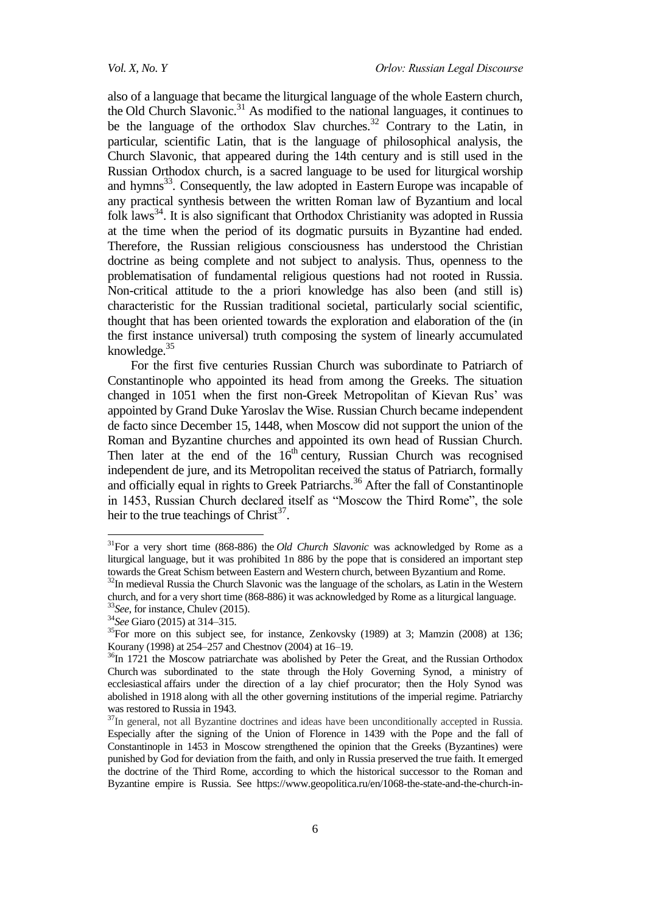also of a language that became the liturgical language of the whole Eastern church, the Old Church Slavonic.<sup>31</sup> As modified to the national languages, it continues to be the language of the orthodox Slav churches.<sup>32</sup> Contrary to the Latin, in particular, scientific Latin, that is the language of philosophical analysis, the Church Slavonic, that appeared during the 14th century and is still used in the Russian Orthodox church, is a sacred language to be used for liturgical worship and hymns<sup>33</sup>. Consequently, the law adopted in Eastern Europe was incapable of any practical synthesis between the written Roman law of Byzantium and local folk laws<sup>34</sup>. It is also significant that Orthodox Christianity was adopted in Russia at the time when the period of its dogmatic pursuits in Byzantine had ended. Therefore, the Russian religious consciousness has understood the Christian doctrine as being complete and not subject to analysis. Thus, openness to the problematisation of fundamental religious questions had not rooted in Russia. Non-critical attitude to the a priori knowledge has also been (and still is) characteristic for the Russian traditional societal, particularly social scientific, thought that has been oriented towards the exploration and elaboration of the (in the first instance universal) truth composing the system of linearly accumulated knowledge. $35$ 

For the first five centuries Russian Church was subordinate to Patriarch of Constantinople who appointed its head from among the Greeks. The situation changed in 1051 when the first non-Greek Metropolitan of Kievan Rus' was appointed by Grand Duke Yaroslav the Wise. Russian Church became independent de facto since December 15, 1448, when Moscow did not support the union of the Roman and Byzantine churches and appointed its own head of Russian Church. Then later at the end of the  $16<sup>th</sup>$  century, Russian Church was recognised independent de jure, and its Metropolitan received the status of Patriarch, formally and officially equal in rights to Greek Patriarchs.<sup>36</sup> After the fall of Constantinople in 1453, Russian Church declared itself as "Moscow the Third Rome", the sole heir to the true teachings of Christ<sup>37</sup>.

<sup>31</sup>For a very short time (868-886) the *Old Church Slavonic* was acknowledged by Rome as a liturgical language, but it was prohibited 1n 886 by the pope that is considered an important step towards the Great Schism between Eastern and Western church, between Byzantium and Rome.

<sup>&</sup>lt;sup>32</sup>In medieval Russia the Church Slavonic was the language of the scholars, as Latin in the Western church, and for a very short time (868-886) it was acknowledged by Rome as a liturgical language. <sup>33</sup>*See*, for instance, Chulev (2015).

<sup>34</sup>*See* Giaro (2015) at 314–315.

 $35$ For more on this subject see, for instance, Zenkovsky (1989) at 3; Mamzin (2008) at 136; Kourany (1998) at 254–257 and Chestnov (2004) at 16–19.

 $36$ In 1721 the Moscow patriarchate was abolished by Peter the Great, and the Russian Orthodox Church was subordinated to the state through the Holy Governing Synod, a ministry of ecclesiastical affairs under the direction of a lay chief procurator; then the Holy Synod was abolished in 1918 along with all the other governing institutions of the imperial regime. Patriarchy was restored to Russia in 1943.

<sup>&</sup>lt;sup>37</sup>In general, not all Byzantine doctrines and ideas have been unconditionally accepted in Russia. Especially after the signing of the Union of Florence in 1439 with the Pope and the fall of Constantinople in 1453 in Moscow strengthened the opinion that the Greeks (Byzantines) were punished by God for deviation from the faith, and only in Russia preserved the true faith. It emerged the doctrine of the Third Rome, according to which the historical successor to the Roman and Byzantine empire is Russia. See https://www.geopolitica.ru/en/1068-the-state-and-the-church-in-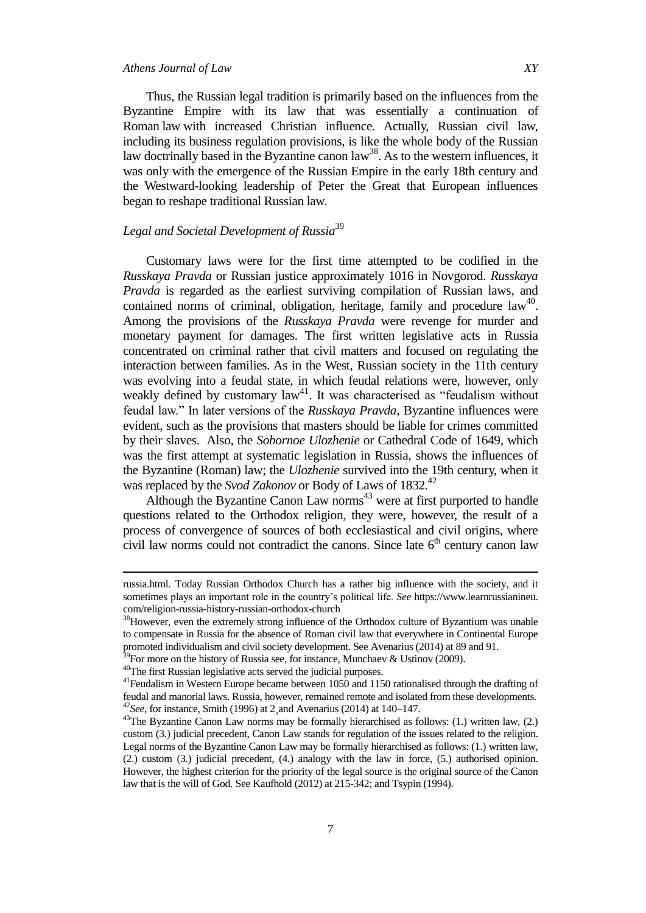### *Athens Journal of Law XY*

Thus, the Russian legal tradition is primarily based on the influences from the Byzantine Empire with its law that was essentially a continuation of Roman law with increased Christian influence. Actually, Russian civil law, including its business regulation provisions, is like the whole body of the Russian law doctrinally based in the Byzantine canon  $law^{38}$ . As to the western influences, it was only with the emergence of the Russian Empire in the early 18th century and the Westward-looking leadership of Peter the Great that European influences began to reshape traditional Russian law.

### *Legal and Societal Development of Russia*<sup>39</sup>

Customary laws were for the first time attempted to be codified in the *Russkaya Pravda* or Russian justice approximately 1016 in Novgorod. *Russkaya Pravda* is regarded as the earliest surviving compilation of Russian laws, and contained norms of criminal, obligation, heritage, family and procedure  $law<sup>40</sup>$ . Among the provisions of the *Russkaya Pravda* were revenge for murder and monetary payment for damages. The first written legislative acts in Russia concentrated on criminal rather that civil matters and focused on regulating the interaction between families. As in the West, Russian society in the 11th century was evolving into a feudal state, in which feudal relations were, however, only weakly defined by customary  $law<sup>41</sup>$ . It was characterised as "feudalism without feudal law.‖ In later versions of the *Russkaya Pravda*, Byzantine influences were evident, such as the provisions that masters should be liable for crimes committed by their slaves. Also, the *Sobornoe Ulozhenie* or Cathedral Code of 1649, which was the first attempt at systematic legislation in Russia, shows the influences of the Byzantine (Roman) law; the *Ulozhenie* survived into the 19th century, when it was replaced by the *Svod Zakonov* or Body of Laws of 1832.<sup>42</sup>

Although the Byzantine Canon Law norms $43$  were at first purported to handle questions related to the Orthodox religion, they were, however, the result of a process of convergence of sources of both ecclesiastical and civil origins, where civil law norms could not contradict the canons. Since late  $6<sup>th</sup>$  century canon law

russia.html. Today Russian Orthodox Church has a rather big influence with the society, and it sometimes plays an important role in the country's political life. *See* https://www.learnrussianineu. com/religion-russia-history-russian-orthodox-church

<sup>&</sup>lt;sup>38</sup>However, even the extremely strong influence of the Orthodox culture of Byzantium was unable to compensate in Russia for the absence of Roman civil law that everywhere in Continental Europe promoted individualism and civil society development. See Avenarius (2014) at 89 and 91.

<sup>&</sup>lt;sup>9</sup>For more on the history of Russia see, for instance, Munchaev & Ustinov (2009).

<sup>40</sup>The first Russian legislative acts served the judicial purposes.

<sup>&</sup>lt;sup>41</sup> Feudalism in Western Europe became between 1050 and 1150 rationalised through the drafting of feudal and manorial laws. Russia, however, remained remote and isolated from these developments. <sup>42</sup>*See*, for instance, Smith (1996) at 2¸and Avenarius (2014) at 140–147.

 $43$ The Byzantine Canon Law norms may be formally hierarchised as follows: (1.) written law, (2.) custom (3.) judicial precedent, Canon Law stands for regulation of the issues related to the religion. Legal norms of the Byzantine Canon Law may be formally hierarchised as follows: (1.) written law, (2.) custom (3.) judicial precedent, (4.) analogy with the law in force, (5.) authorised opinion. However, the highest criterion for the priority of the legal source is the original source of the Canon law that is the will of God. See Kaufhold (2012) at 215-342; and Tsypin (1994).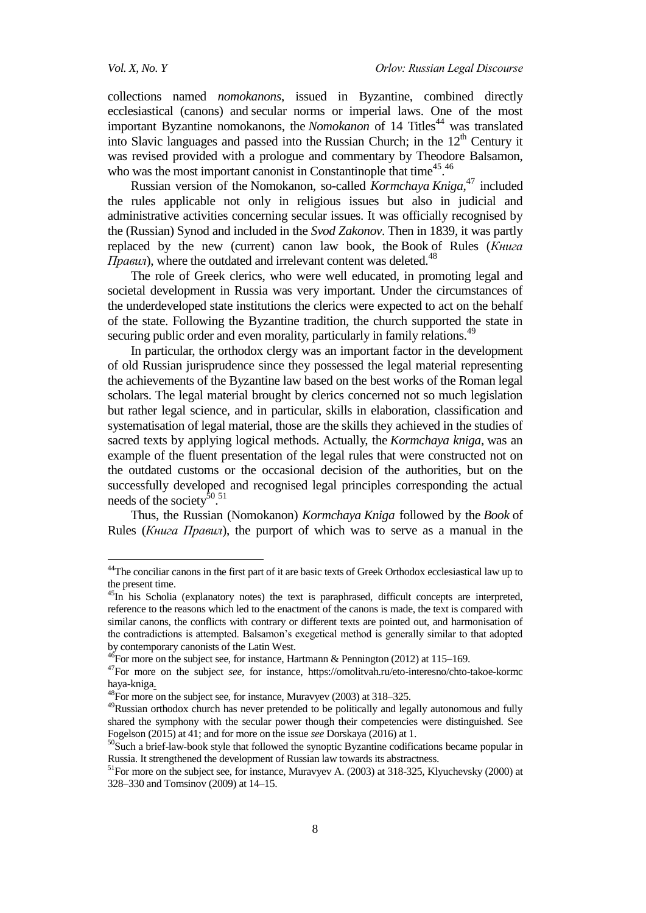1

collections named *nomokanons*, issued in Byzantine, combined directly ecclesiastical (canons) and secular norms or imperial laws. One of the most important Byzantine nomokanons, the *Nomokanon* of 14 Titles<sup>44</sup> was translated into Slavic languages and passed into the [Russian Church;](https://orthodoxwiki.org/Church_of_Russia) in the  $12<sup>th</sup>$  Century it was revised provided with a prologue and commentary by Theodore Balsamon, who was the most important canonist in Constantinople that time<sup>45.46</sup>

Russian version of the Nomokanon, so-called *Kormchaya Kniga*, <sup>47</sup> included the rules applicable not only in religious issues but also in judicial and administrative activities concerning secular issues. It was officially recognised by the (Russian) Synod and included in the *Svod Zakonov*. Then in 1839, it was partly replaced by the new (current) canon law book, the Book of Rules (*Книга*   $\Pi$ *pabun*), where the outdated and irrelevant content was deleted.<sup>48</sup>

The role of Greek clerics, who were well educated, in promoting legal and societal development in Russia was very important. Under the circumstances of the underdeveloped state institutions the clerics were expected to act on the behalf of the state. Following the Byzantine tradition, the church supported the state in securing public order and even morality, particularly in family relations.<sup>49</sup>

In particular, the orthodox clergy was an important factor in the development of old Russian jurisprudence since they possessed the legal material representing the achievements of the Byzantine law based on the best works of the Roman legal scholars. The legal material brought by clerics concerned not so much legislation but rather legal science, and in particular, skills in elaboration, classification and systematisation of legal material, those are the skills they achieved in the studies of sacred texts by applying logical methods. Actually, the *Kormchaya kniga*, was an example of the fluent presentation of the legal rules that were constructed not on the outdated customs or the occasional decision of the authorities, but on the successfully developed and recognised legal principles corresponding the actual needs of the society<sup>50 51</sup>

Thus, the Russian (Nomokanon) *Kormchaya Kniga* followed by the *Book* of Rules (*Книга Правил*), the purport of which was to serve as a manual in the

<sup>&</sup>lt;sup>44</sup>The conciliar canons in the first part of it are basic texts of Greek Orthodox ecclesiastical law up to the present time.

<sup>&</sup>lt;sup>45</sup>In his Scholia (explanatory notes) the text is paraphrased, difficult concepts are interpreted, reference to the reasons which led to the enactment of the canons is made, the text is compared with similar canons, the conflicts with contrary or different texts are pointed out, and harmonisation of the contradictions is attempted. Balsamon's exegetical method is generally similar to that adopted by contemporary canonists of the Latin West.

 $^{46}$ For more on the subject see, for instance, Hartmann & Pennington (2012) at 115–169.

<sup>47</sup>For more on the subject *see*, for instance, https://omolitvah.ru/eto-interesno/chto-takoe-kormc haya-kniga.

<sup>&</sup>lt;sup>48</sup>For more on the subject see, for instance, Muravyev (2003) at 318–325.

<sup>&</sup>lt;sup>49</sup>Russian orthodox church has never pretended to be politically and legally autonomous and fully shared the symphony with the secular power though their competencies were distinguished. See Fogelson (2015) at 41; and for more on the issue *see* Dorskaya (2016) at 1.

<sup>&</sup>lt;sup>50</sup>Such a brief-law-book style that followed the synoptic Byzantine codifications became popular in Russia. It strengthened the development of Russian law towards its abstractness.

<sup>&</sup>lt;sup>51</sup>For more on the subject see, for instance, Muravyev A. (2003) at 318-325, Klyuchevsky (2000) at 328–330 and Tomsinov (2009) at 14–15.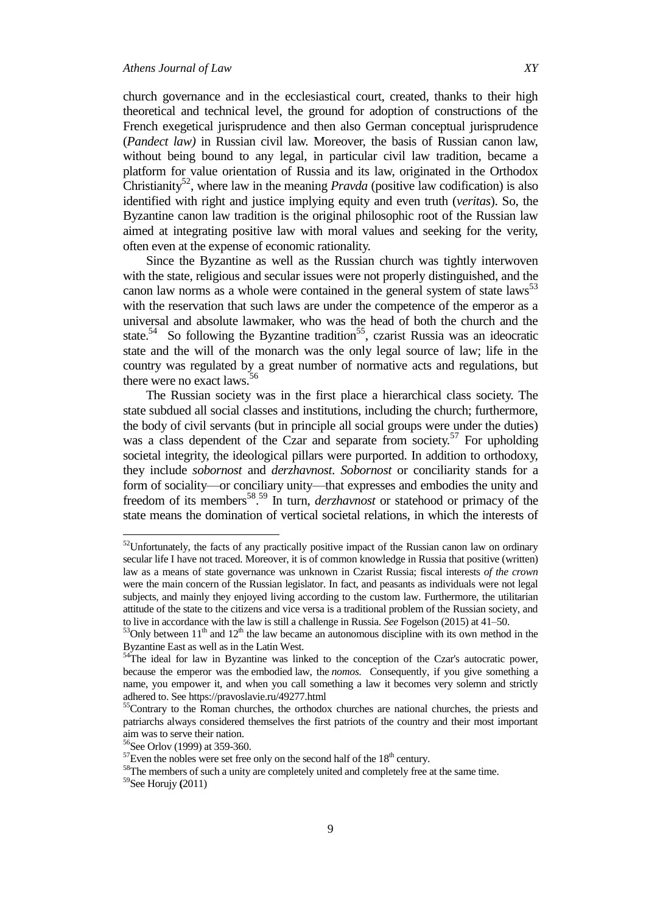church governance and in the ecclesiastical court, created, thanks to their high theoretical and technical level, the ground for adoption of constructions of the French exegetical jurisprudence and then also German conceptual jurisprudence (*Pandect law)* in Russian civil law. Moreover, the basis of Russian canon law, without being bound to any legal, in particular civil law tradition, became a platform for value orientation of Russia and its law, originated in the Orthodox Christianity<sup>52</sup>, where law in the meaning *Pravda* (positive law codification) is also identified with right and justice implying equity and even truth (*veritas*). So, the Byzantine canon law tradition is the original philosophic root of the Russian law aimed at integrating positive law with moral values and seeking for the verity,

Since the Byzantine as well as the Russian church was tightly interwoven with the state, religious and secular issues were not properly distinguished, and the canon law norms as a whole were contained in the general system of state laws<sup>53</sup> with the reservation that such laws are under the competence of the emperor as a universal and absolute lawmaker, who was the head of both the church and the state.<sup>54</sup> So following the Byzantine tradition<sup>55</sup>, czarist Russia was an ideocratic state and the will of the monarch was the only legal source of law; life in the country was regulated by a great number of normative acts and regulations, but there were no exact laws.<sup>56</sup>

often even at the expense of economic rationality.

The Russian society was in the first place a hierarchical class society. The state subdued all social classes and institutions, including the church; furthermore, the body of civil servants (but in principle all social groups were under the duties) was a class dependent of the Czar and separate from society.<sup>57</sup> For upholding societal integrity, the ideological pillars were purported. In addition to orthodoxy, they include *sobornost* and *derzhavnost*. *Sobornost* or conciliarity stands for a form of sociality—or conciliary unity—that expresses and embodies the unity and freedom of its members<sup>58</sup>.<sup>59</sup> In turn, *derzhavnost* or statehood or primacy of the state means the domination of vertical societal relations, in which the interests of

 $52$ Unfortunately, the facts of any practically positive impact of the Russian canon law on ordinary secular life I have not traced. Moreover, it is of common knowledge in Russia that positive (written) law as a means of state governance was unknown in Czarist Russia; fiscal interests *of the crown* were the main concern of the Russian legislator. In fact, and peasants as individuals were not legal subjects, and mainly they enjoyed living according to the custom law. Furthermore, the utilitarian attitude of the state to the citizens and vice versa is a traditional problem of the Russian society, and to live in accordance with the law is still a challenge in Russia. *See* Fogelson (2015) at 41–50.

 $53$ Only between  $11<sup>th</sup>$  and  $12<sup>th</sup>$  the law became an autonomous discipline with its own method in the Byzantine East as well as in the Latin West.

<sup>&</sup>lt;sup>54</sup>The ideal for law in Byzantine was linked to the conception of the Czar's autocratic power, because the emperor was the embodied law, the *nomos*. Consequently, if you give something a name, you empower it, and when you call something a law it becomes very solemn and strictly adhered to. See https://pravoslavie.ru/49277.html

<sup>&</sup>lt;sup>55</sup>Contrary to the Roman churches, the orthodox churches are national churches, the priests and patriarchs always considered themselves the first patriots of the country and their most important aim was to serve their nation.

<sup>56</sup>See Orlov (1999) at 359-360.

 $57$ Even the nobles were set free only on the second half of the  $18<sup>th</sup>$  century.

<sup>&</sup>lt;sup>58</sup>The members of such a unity are completely united and completely free at the same time.

<sup>59</sup>See Horujy **(**2011)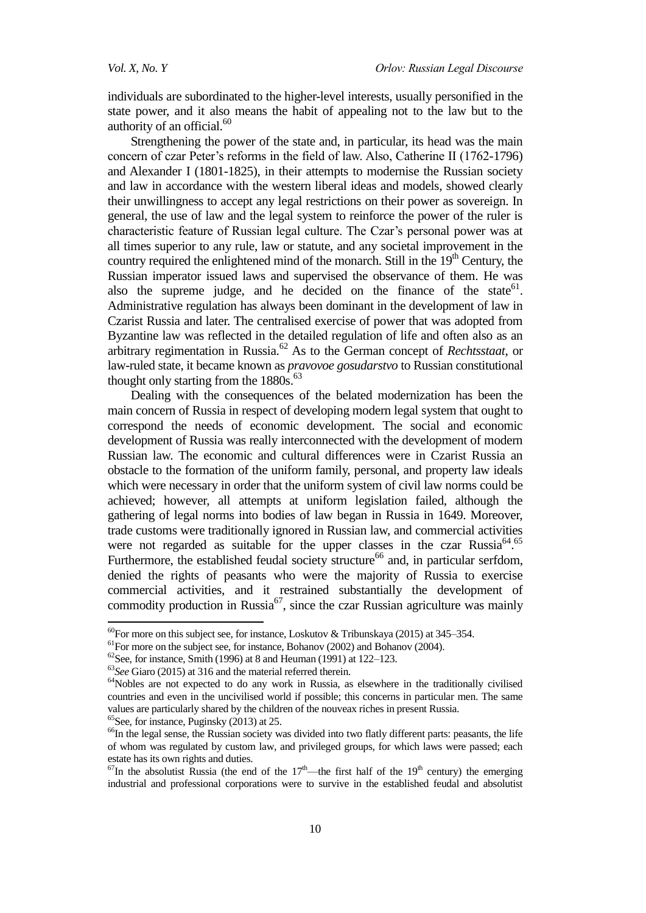individuals are subordinated to the higher-level interests, usually personified in the state power, and it also means the habit of appealing not to the law but to the authority of an official.<sup>60</sup>

Strengthening the power of the state and, in particular, its head was the main concern of czar Peter's reforms in the field of law. Also, Catherine II (1762-1796) and Alexander I (1801-1825), in their attempts to modernise the Russian society and law in accordance with the western liberal ideas and models, showed clearly their unwillingness to accept any legal restrictions on their power as sovereign. In general, the use of law and the legal system to reinforce the power of the ruler is characteristic feature of Russian legal culture. The Czar's personal power was at all times superior to any rule, law or statute, and any societal improvement in the country required the enlightened mind of the monarch. Still in the  $19<sup>th</sup>$  Century, the Russian imperator issued laws and supervised the observance of them. He was also the supreme judge, and he decided on the finance of the state<sup>61</sup>. Administrative regulation has always been dominant in the development of law in Czarist Russia and later. The centralised exercise of power that was adopted from Byzantine law was reflected in the detailed regulation of life and often also as an arbitrary regimentation in Russia.<sup>62</sup> As to the German concept of *Rechtsstaat*, or law-ruled state, it became known as *pravovoe gosudarstvo* to Russian constitutional thought only starting from the  $1880s^{63}$ .

Dealing with the consequences of the belated modernization has been the main concern of Russia in respect of developing modern legal system that ought to correspond the needs of economic development. The social and economic development of Russia was really interconnected with the development of modern Russian law. The economic and cultural differences were in Czarist Russia an obstacle to the formation of the uniform family, personal, and property law ideals which were necessary in order that the uniform system of civil law norms could be achieved; however, all attempts at uniform legislation failed, although the gathering of legal norms into bodies of law began in Russia in 1649. Moreover, trade customs were traditionally ignored in Russian law, and commercial activities were not regarded as suitable for the upper classes in the czar Russia<sup>64.65</sup> Furthermore, the established feudal society structure<sup>66</sup> and, in particular serfdom, denied the rights of peasants who were the majority of Russia to exercise commercial activities, and it restrained substantially the development of commodity production in Russia<sup>67</sup>, since the czar Russian agriculture was mainly

 $65$ See, for instance, Puginsky (2013) at 25.

1

 $^{60}$ For more on this subject see, for instance, Loskutov & Tribunskaya (2015) at 345–354.

 $<sup>61</sup>$  For more on the subject see, for instance, Bohanov (2002) and Bohanov (2004).</sup>

 $62$ See, for instance, Smith (1996) at 8 and Heuman (1991) at 122–123.

<sup>63</sup>*See* Giaro (2015) at 316 and the material referred therein.

<sup>&</sup>lt;sup>64</sup>Nobles are not expected to do any work in Russia, as elsewhere in the traditionally civilised countries and even in the uncivilised world if possible; this concerns in particular men. The same values are particularly shared by the children of the nouveax riches in present Russia.

<sup>&</sup>lt;sup>66</sup>In the legal sense, the Russian society was divided into two flatly different parts: peasants, the life of whom was regulated by custom law, and privileged groups, for which laws were passed; each estate has its own rights and duties.

 $^{67}$ In the absolutist Russia (the end of the 17<sup>th</sup>—the first half of the 19<sup>th</sup> century) the emerging industrial and professional corporations were to survive in the established feudal and absolutist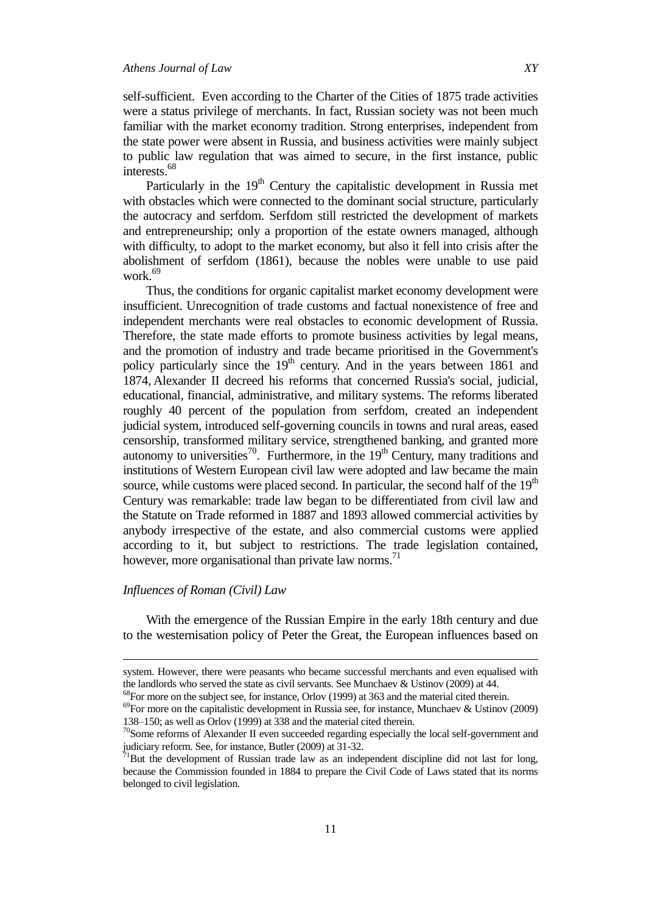self-sufficient. Even according to the Charter of the Cities of 1875 trade activities were a status privilege of merchants. In fact, Russian society was not been much familiar with the market economy tradition. Strong enterprises, independent from the state power were absent in Russia, and business activities were mainly subject to public law regulation that was aimed to secure, in the first instance, public interests.<sup>68</sup>

Particularly in the 19<sup>th</sup> Century the capitalistic development in Russia met with obstacles which were connected to the dominant social structure, particularly the autocracy and serfdom. Serfdom still restricted the development of markets and entrepreneurship; only a proportion of the estate owners managed, although with difficulty, to adopt to the market economy, but also it fell into crisis after the abolishment of serfdom (1861), because the nobles were unable to use paid work.<sup>69</sup>

Thus, the conditions for organic capitalist market economy development were insufficient. Unrecognition of trade customs and factual nonexistence of free and independent merchants were real obstacles to economic development of Russia. Therefore, the state made efforts to promote business activities by legal means, and the promotion of industry and trade became prioritised in the Government's policy particularly since the  $19<sup>th</sup>$  century. And in the years between 1861 and 1874, Alexander II decreed his reforms that concerned Russia's social, judicial, educational, financial, administrative, and military systems. The reforms liberated roughly 40 percent of the population from serfdom, created an independent judicial system, introduced self-governing councils in towns and rural areas, eased censorship, transformed military service, strengthened banking, and granted more autonomy to universities<sup>70</sup>. Furthermore, in the  $19<sup>th</sup>$  Century, many traditions and institutions of Western European civil law were adopted and law became the main source, while customs were placed second. In particular, the second half of the  $19<sup>th</sup>$ Century was remarkable: trade law began to be differentiated from civil law and the Statute on Trade reformed in 1887 and 1893 allowed commercial activities by anybody irrespective of the estate, and also commercial customs were applied according to it, but subject to restrictions. The trade legislation contained, however, more organisational than private law norms.<sup>71</sup>

### *Influences of Roman (Civil) Law*

**.** 

With the emergence of the Russian Empire in the early 18th century and due to the westernisation policy of Peter the Great, the European influences based on

system. However, there were peasants who became successful merchants and even equalised with the landlords who served the state as civil servants. See Munchaev & Ustinov (2009) at 44.

 $68$ For more on the subject see, for instance, Orlov (1999) at 363 and the material cited therein.

 $^{69}$ For more on the capitalistic development in Russia see, for instance, Munchaev & Ustinov (2009) 138–150; as well as Orlov (1999) at 338 and the material cited therein.

 $70$ Some reforms of Alexander II even succeeded regarding especially the local self-government and judiciary reform. See, for instance, Butler (2009) at 31-32.

 $71$ But the development of Russian trade law as an independent discipline did not last for long, because the Commission founded in 1884 to prepare the Civil Code of Laws stated that its norms belonged to civil legislation.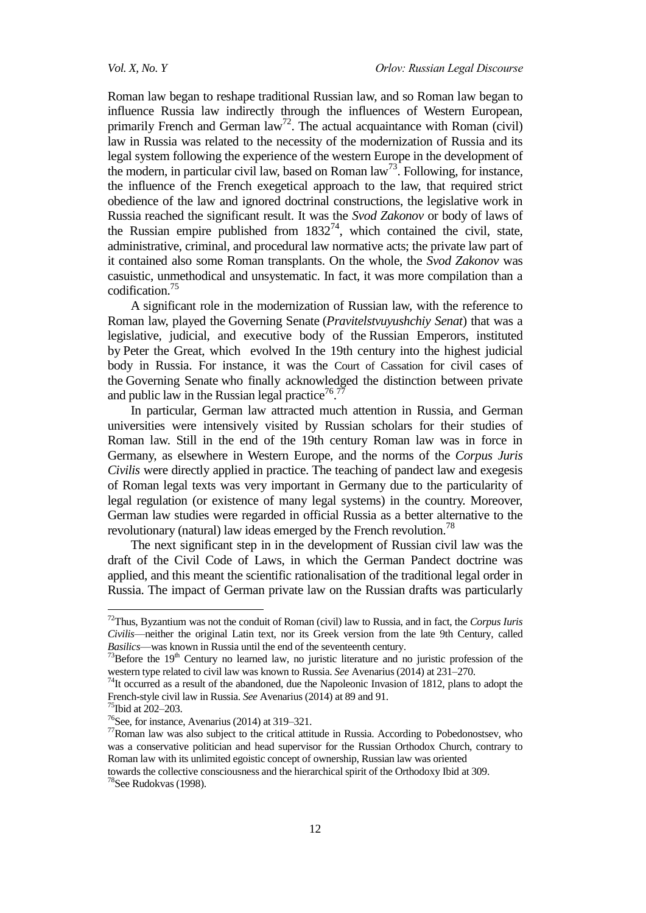Roman law began to reshape traditional Russian law, and so Roman law began to influence Russia law indirectly through the influences of Western European, primarily French and German  $law^{72}$ . The actual acquaintance with Roman (civil) law in Russia was related to the necessity of the modernization of Russia and its legal system following the experience of the western Europe in the development of the modern, in particular civil law, based on Roman  $law^{73}$ . Following, for instance, the influence of the French exegetical approach to the law, that required strict obedience of the law and ignored doctrinal constructions, the legislative work in Russia reached the significant result. It was the *Svod Zakonov* or body of laws of the Russian empire published from  $1832^{74}$ , which contained the civil, state, administrative, criminal, and procedural law normative acts; the private law part of it contained also some Roman transplants. On the whole, the *Svod Zakonov* was casuistic, unmethodical and unsystematic. In fact, it was more compilation than a codification.<sup>75</sup>

A significant role in the modernization of Russian law, with the reference to Roman law, played the Governing Senate (*Pravitelstvuyushchiy Senat*) that was a legislative, judicial, and executive body of the [Russian Emperors,](https://en.wikipedia.org/wiki/Tsar) instituted by [Peter the Great,](https://en.wikipedia.org/wiki/Peter_I_of_Russia) which evolved In the 19th century into the highest judicial body in Russia. For instance, it was the [Court of Cassation](https://en.wikipedia.org/wiki/Supreme_court) for civil cases of the Governing Senate who finally acknowledged the distinction between private and public law in the Russian legal practice<sup>76.77</sup>

In particular, German law attracted much attention in Russia, and German universities were intensively visited by Russian scholars for their studies of Roman law. Still in the end of the 19th century Roman law was in force in Germany, as elsewhere in Western Europe, and the norms of the *Corpus Juris Civilis* were directly applied in practice. The teaching of pandect law and exegesis of Roman legal texts was very important in Germany due to the particularity of legal regulation (or existence of many legal systems) in the country. Moreover, German law studies were regarded in official Russia as a better alternative to the revolutionary (natural) law ideas emerged by the French revolution.<sup>78</sup>

The next significant step in in the development of Russian civil law was the draft of the Civil Code of Laws, in which the German Pandect doctrine was applied, and this meant the scientific rationalisation of the traditional legal order in Russia. The impact of German private law on the Russian drafts was particularly

 $\overline{a}$ 

towards the collective consciousness and the hierarchical spirit of the Orthodoxy Ibid at 309.

<sup>72</sup>Thus, Byzantium was not the conduit of Roman (civil) law to Russia, and in fact, the *Corpus Iuris Civilis*—neither the original Latin text, nor its Greek version from the late 9th Century, called *Basilics*—was known in Russia until the end of the seventeenth century.

 $73$ Before the 19<sup>th</sup> Century no learned law, no juristic literature and no juristic profession of the western type related to civil law was known to Russia. *See* Avenarius (2014) at 231–270.

 $74$ It occurred as a result of the abandoned, due the Napoleonic Invasion of 1812, plans to adopt the French-style civil law in Russia. *See* Avenarius (2014) at 89 and 91.

<sup>75</sup>Ibid at 202–203.

<sup>76</sup>See, for instance, Avenarius (2014) at 319–321.

<sup>77</sup>Roman law was also subject to the critical attitude in Russia. According to Pobedonostsev, who was a conservative politician and head supervisor for the Russian Orthodox Church, contrary to Roman law with its unlimited egoistic concept of ownership, Russian law was oriented

<sup>78</sup>See Rudokvas (1998).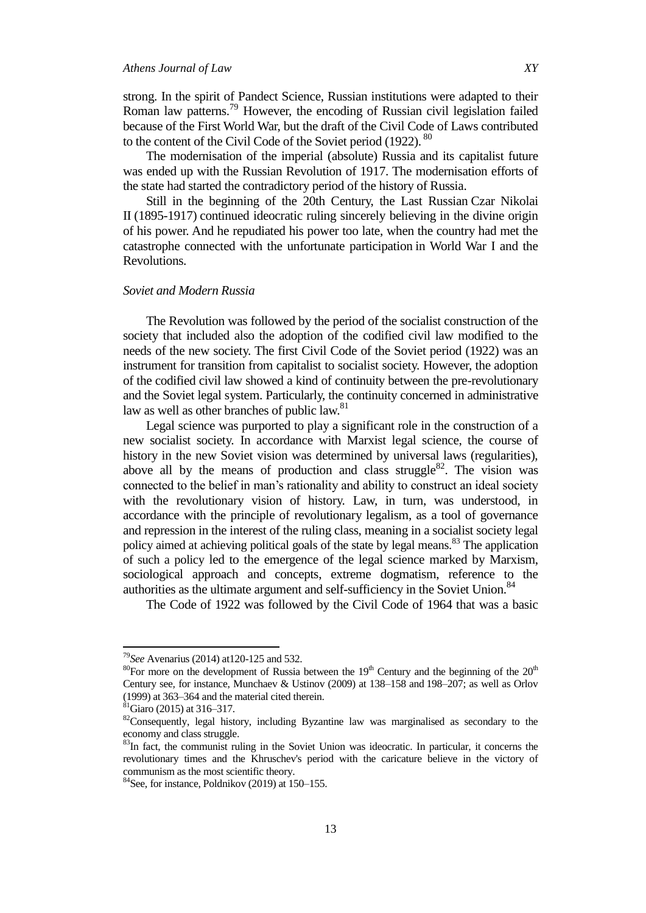strong. In the spirit of Pandect Science, Russian institutions were adapted to their Roman law patterns.<sup>79</sup> However, the encoding of Russian civil legislation failed because of the First World War, but the draft of the Civil Code of Laws contributed to the content of the Civil Code of the Soviet period (1922). <sup>80</sup>

The modernisation of the imperial (absolute) Russia and its capitalist future was ended up with the Russian Revolution of 1917. The modernisation efforts of the state had started the contradictory period of the history of Russia.

Still in the beginning of the 20th Century, the Last Russian Czar Nikolai II (1895-1917) continued ideocratic ruling sincerely believing in the divine origin of his power. And he repudiated his power too late, when the country had met the catastrophe connected with the unfortunate participation in World War I and the Revolutions.

### *Soviet and Modern Russia*

The Revolution was followed by the period of the socialist construction of the society that included also the adoption of the codified civil law modified to the needs of the new society. The first Civil Code of the Soviet period (1922) was an instrument for transition from capitalist to socialist society. However, the adoption of the codified civil law showed a kind of continuity between the pre-revolutionary and the Soviet legal system. Particularly, the continuity concerned in administrative law as well as other branches of public law.<sup>81</sup>

Legal science was purported to play a significant role in the construction of a new socialist society. In accordance with Marxist legal science, the course of history in the new Soviet vision was determined by universal laws (regularities), above all by the means of production and class struggle $82$ . The vision was connected to the belief in man's rationality and ability to construct an ideal society with the revolutionary vision of history. Law, in turn, was understood, in accordance with the principle of revolutionary legalism, as a tool of governance and repression in the interest of the ruling class, meaning in a socialist society legal policy aimed at achieving political goals of the state by legal means.<sup>83</sup> The application of such a policy led to the emergence of the legal science marked by Marxism, sociological approach and concepts, extreme dogmatism, reference to the authorities as the ultimate argument and self-sufficiency in the Soviet Union.<sup>84</sup>

The Code of 1922 was followed by the Civil Code of 1964 that was a basic

<sup>79</sup>*See* Avenarius (2014) at120-125 and 532.

<sup>&</sup>lt;sup>80</sup>For more on the development of Russia between the  $19<sup>th</sup>$  Century and the beginning of the  $20<sup>th</sup>$ Century see*,* for instance, Munchaev & Ustinov (2009) at 138–158 and 198–207; as well as Orlov (1999) at 363–364 and the material cited therein.

 $81$ Giaro (2015) at 316–317.

<sup>&</sup>lt;sup>82</sup>Consequently, legal history, including Byzantine law was marginalised as secondary to the economy and class struggle.

<sup>&</sup>lt;sup>83</sup>In fact, the communist ruling in the Soviet Union was ideocratic. In particular, it concerns the revolutionary times and the Khruschev's period with the caricature believe in the victory of communism as the most scientific theory.

<sup>84</sup>See, for instance, Poldnikov (2019) at 150–155.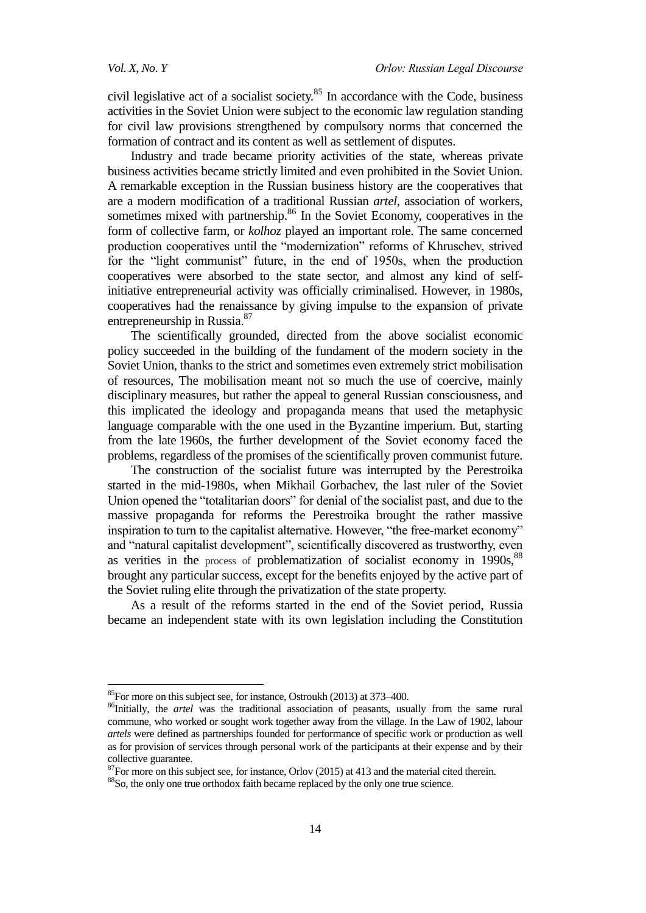$\overline{a}$ 

civil legislative act of a socialist society.<sup>85</sup> In accordance with the Code, business activities in the Soviet Union were subject to the economic law regulation standing for civil law provisions strengthened by compulsory norms that concerned the formation of contract and its content as well as settlement of disputes.

Industry and trade became priority activities of the state, whereas private business activities became strictly limited and even prohibited in the Soviet Union. A remarkable exception in the Russian business history are the cooperatives that are a modern modification of a traditional Russian *artel*, association of workers, sometimes mixed with partnership.<sup>86</sup> In the Soviet Economy, cooperatives in the form of collective farm, or *kolhoz* played an important role. The same concerned production cooperatives until the "modernization" reforms of Khruschev, strived for the "light communist" future, in the end of 1950s, when the production cooperatives were absorbed to the state sector, and almost any kind of selfinitiative entrepreneurial activity was officially criminalised. However, in 1980s, cooperatives had the renaissance by giving impulse to the expansion of private entrepreneurship in Russia.<sup>87</sup>

The scientifically grounded, directed from the above socialist economic policy succeeded in the building of the fundament of the modern society in the Soviet Union, thanks to the strict and sometimes even extremely strict mobilisation of resources, The mobilisation meant not so much the use of coercive, mainly disciplinary measures, but rather the appeal to general Russian consciousness, and this implicated the ideology and propaganda means that used the metaphysic language comparable with the one used in the Byzantine imperium. But, starting from the late 1960s, the further development of the Soviet economy faced the problems, regardless of the promises of the scientifically proven communist future.

The construction of the socialist future was interrupted by the Perestroika started in the mid-1980s, when Mikhail Gorbachev, the last ruler of the Soviet Union opened the "totalitarian doors" for denial of the socialist past, and due to the massive propaganda for reforms the Perestroika brought the rather massive inspiration to turn to the capitalist alternative. However, "the free-market economy" and "natural capitalist development", scientifically discovered as trustworthy, even as verities in the process of problematization of socialist economy in  $1990s$ ,  $88$ brought any particular success, except for the benefits enjoyed by the active part of the Soviet ruling elite through the privatization of the state property.

As a result of the reforms started in the end of the Soviet period, Russia became an independent state with its own legislation including the Constitution

 $87$  For more on this subject see, for instance, Orlov (2015) at 413 and the material cited therein.

 $85$ For more on this subject see, for instance, Ostroukh (2013) at 373–400.

<sup>&</sup>lt;sup>86</sup>Initially, the *artel* was the traditional association of peasants, usually from the same rural commune, who worked or sought work together away from the village. In the Law of 1902, labour *artels* were defined as partnerships founded for performance of specific work or production as well as for provision of services through personal work of the participants at their expense and by their collective guarantee.

<sup>88</sup>So, the only one true orthodox faith became replaced by the only one true science.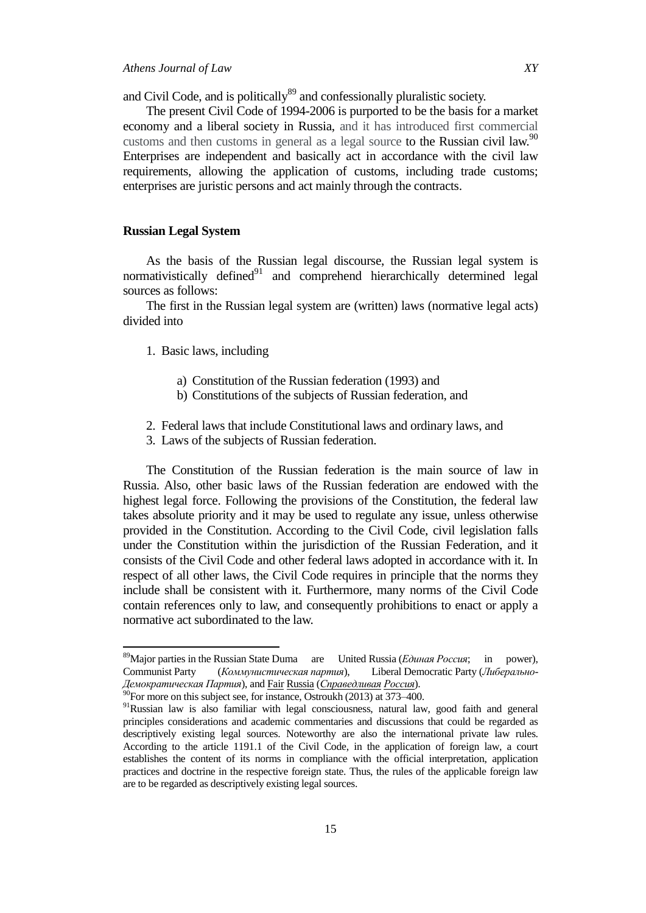and Civil Code, and is politically<sup>89</sup> and confessionally pluralistic society.

The present Civil Code of 1994-2006 is purported to be the basis for a market economy and a liberal society in Russia, and it has introduced first commercial customs and then customs in general as a legal source to the Russian civil law.<sup>90</sup> Enterprises are independent and basically act in accordance with the civil law requirements, allowing the application of customs, including trade customs; enterprises are juristic persons and act mainly through the contracts.

### **Russian Legal System**

 $\overline{a}$ 

As the basis of the Russian legal discourse, the Russian legal system is normativistically defined $91$  and comprehend hierarchically determined legal sources as follows:

The first in the Russian legal system are (written) laws (normative legal acts) divided into

- 1. Basic laws, including
	- a) Constitution of the Russian federation (1993) and
	- b) Constitutions of the subjects of Russian federation, and
- 2. Federal laws that include Constitutional laws and ordinary laws, and
- 3. Laws of the subjects of Russian federation.

The Constitution of the Russian federation is the main source of law in Russia. Also, other basic laws of the Russian federation are endowed with the highest legal force. Following the provisions of the Constitution, the federal law takes absolute priority and it may be used to regulate any issue, unless otherwise provided in the Constitution. According to the Civil Code, civil legislation falls under the Constitution within the jurisdiction of the Russian Federation, and it consists of the Civil Code and other federal laws adopted in accordance with it. In respect of all other laws, the Civil Code requires in principle that the norms they include shall be consistent with it. Furthermore, many norms of the Civil Code contain references only to law, and consequently prohibitions to enact or apply a normative act subordinated to the law.

15

<sup>&</sup>lt;sup>89</sup>Major parties in the Russian State Duma are United Russia (*Единая Россия*; in power), Communist Party (*Коммунистическая партия*), Liberal Democratic Party (*Либерально*-*Демократическая Партия*), and Fair Russia (*Справедливая Россия*).

 $^{90}$ For more on this subject see, for instance, Ostroukh (2013) at 373–400.

<sup>&</sup>lt;sup>91</sup>Russian law is also familiar with legal consciousness, natural law, good faith and general principles considerations and academic commentaries and discussions that could be regarded as descriptively existing legal sources. Noteworthy are also the international private law rules. According to the article 1191.1 of the Civil Code, in the application of foreign law, a court establishes the content of its norms in compliance with the official interpretation, application practices and doctrine in the respective foreign state. Thus, the rules of the applicable foreign law are to be regarded as descriptively existing legal sources.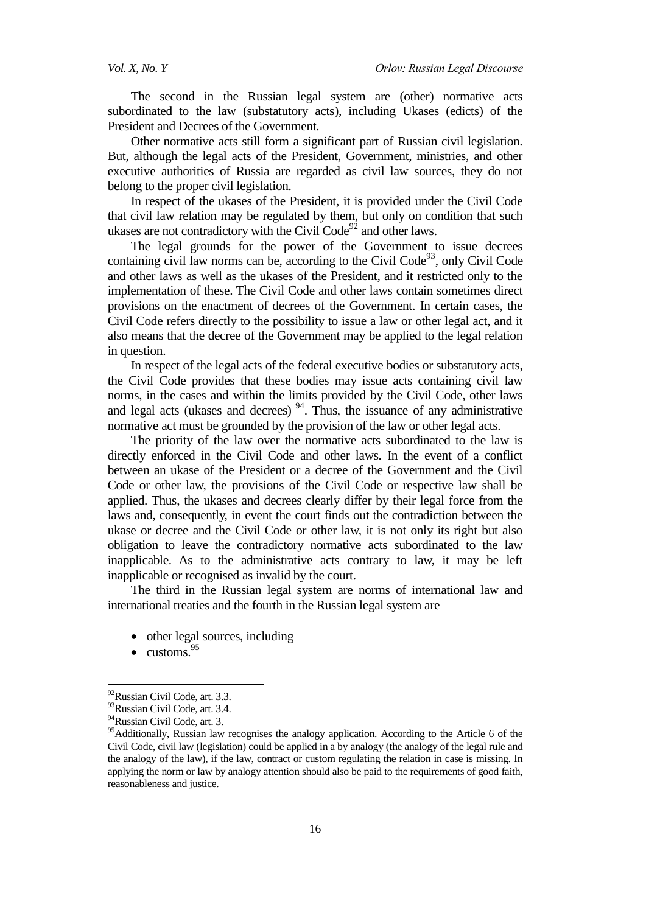The second in the Russian legal system are (other) normative acts subordinated to the law (substatutory acts), including Ukases (edicts) of the President and Decrees of the Government.

Other normative acts still form a significant part of Russian civil legislation. But, although the legal acts of the President, Government, ministries, and other executive authorities of Russia are regarded as civil law sources, they do not belong to the proper civil legislation.

In respect of the ukases of the President, it is provided under the Civil Code that civil law relation may be regulated by them, but only on condition that such ukases are not contradictory with the Civil  $Code^{92}$  and other laws.

The legal grounds for the power of the Government to issue decrees containing civil law norms can be, according to the Civil Code<sup>93</sup>, only Civil Code and other laws as well as the ukases of the President, and it restricted only to the implementation of these. The Civil Code and other laws contain sometimes direct provisions on the enactment of decrees of the Government. In certain cases, the Civil Code refers directly to the possibility to issue a law or other legal act, and it also means that the decree of the Government may be applied to the legal relation in question.

In respect of the legal acts of the federal executive bodies or substatutory acts, the Civil Code provides that these bodies may issue acts containing civil law norms, in the cases and within the limits provided by the Civil Code, other laws and legal acts (ukases and decrees)  $94$ . Thus, the issuance of any administrative normative act must be grounded by the provision of the law or other legal acts.

The priority of the law over the normative acts subordinated to the law is directly enforced in the Civil Code and other laws. In the event of a conflict between an ukase of the President or a decree of the Government and the Civil Code or other law, the provisions of the Civil Code or respective law shall be applied. Thus, the ukases and decrees clearly differ by their legal force from the laws and, consequently, in event the court finds out the contradiction between the ukase or decree and the Civil Code or other law, it is not only its right but also obligation to leave the contradictory normative acts subordinated to the law inapplicable. As to the administrative acts contrary to law, it may be left inapplicable or recognised as invalid by the court.

The third in the Russian legal system are norms of international law and international treaties and the fourth in the Russian legal system are

- other legal sources, including
- $\bullet$  customs.  $95$

<sup>&</sup>lt;sup>92</sup>Russian Civil Code, art. 3.3.

<sup>&</sup>lt;sup>93</sup>Russian Civil Code, art. 3.4.

<sup>94</sup>Russian Civil Code, art. 3.

<sup>&</sup>lt;sup>95</sup>Additionally, Russian law recognises the analogy application. According to the Article 6 of the Civil Code, civil law (legislation) could be applied in a by analogy (the analogy of the legal rule and the analogy of the law), if the law, contract or custom regulating the relation in case is missing. In applying the norm or law by analogy attention should also be paid to the requirements of good faith, reasonableness and justice.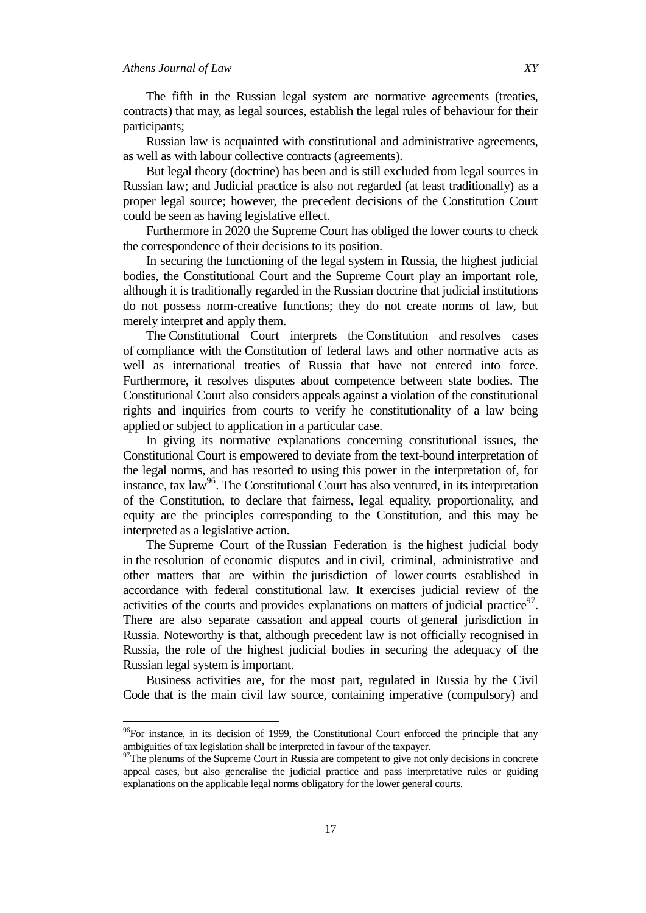$\overline{a}$ 

The fifth in the Russian legal system are normative agreements (treaties, contracts) that may, as legal sources, establish the legal rules of behaviour for their participants;

Russian law is acquainted with constitutional and administrative agreements, as well as with labour collective contracts (agreements).

But legal theory (doctrine) has been and is still excluded from legal sources in Russian law; and Judicial practice is also not regarded (at least traditionally) as a proper legal source; however, the precedent decisions of the Constitution Court could be seen as having legislative effect.

Furthermore in 2020 the Supreme Court has obliged the lower courts to check the correspondence of their decisions to its position.

In securing the functioning of the legal system in Russia, the highest judicial bodies, the Constitutional Court and the Supreme Court play an important role, although it is traditionally regarded in the Russian doctrine that judicial institutions do not possess norm-creative functions; they do not create norms of law, but merely interpret and apply them.

The Constitutional Court interprets the Constitution and resolves cases of compliance with the Constitution of federal laws and other normative acts as well as international treaties of Russia that have not entered into force. Furthermore, it resolves disputes about competence between state bodies. The Constitutional Court also considers appeals against a violation of the constitutional rights and inquiries from courts to verify he constitutionality of a law being applied or subject to application in a particular case.

In giving its normative explanations concerning constitutional issues, the Constitutional Court is empowered to deviate from the text-bound interpretation of the legal norms, and has resorted to using this power in the interpretation of, for instance, tax  $law^{96}$ . The Constitutional Court has also ventured, in its interpretation of the Constitution, to declare that fairness, legal equality, proportionality, and equity are the principles corresponding to the Constitution, and this may be interpreted as a legislative action.

The Supreme Court of the Russian Federation is the highest judicial body in the resolution of economic disputes and in civil, criminal, administrative and other matters that are within the jurisdiction of lower courts established in accordance with federal constitutional law. It exercises judicial review of the activities of the courts and provides explanations on matters of judicial practice $97$ . There are also separate cassation and appeal courts of general jurisdiction in Russia. Noteworthy is that, although precedent law is not officially recognised in Russia, the role of the highest judicial bodies in securing the adequacy of the Russian legal system is important.

Business activities are, for the most part, regulated in Russia by the Civil Code that is the main civil law source, containing imperative (compulsory) and

17

 $96$ For instance, in its decision of 1999, the Constitutional Court enforced the principle that any ambiguities of tax legislation shall be interpreted in favour of the taxpayer.

<sup>&</sup>lt;sup>97</sup>The plenums of the Supreme Court in Russia are competent to give not only decisions in concrete appeal cases, but also generalise the judicial practice and pass interpretative rules or guiding explanations on the applicable legal norms obligatory for the lower general courts.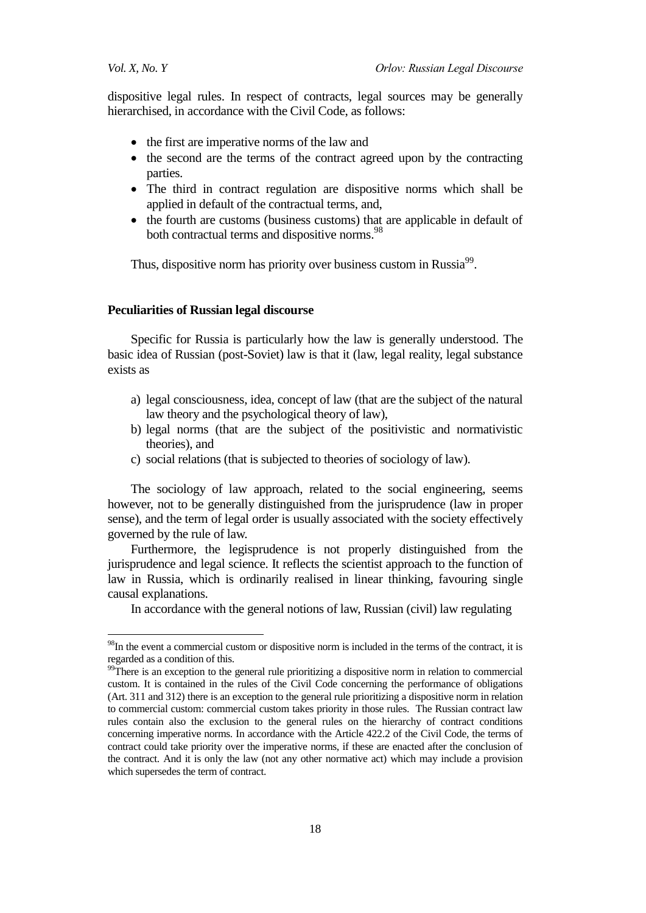1

dispositive legal rules. In respect of contracts, legal sources may be generally hierarchised, in accordance with the Civil Code, as follows:

- the first are imperative norms of the law and
- the second are the terms of the contract agreed upon by the contracting parties.
- The third in contract regulation are dispositive norms which shall be applied in default of the contractual terms, and,
- the fourth are customs (business customs) that are applicable in default of both contractual terms and dispositive norms.<sup>98</sup>

Thus, dispositive norm has priority over business custom in Russia<sup>99</sup>.

### **Peculiarities of Russian legal discourse**

Specific for Russia is particularly how the law is generally understood. The basic idea of Russian (post-Soviet) law is that it (law, legal reality, legal substance exists as

- a) legal consciousness, idea, concept of law (that are the subject of the natural law theory and the psychological theory of law),
- b) legal norms (that are the subject of the positivistic and normativistic theories), and
- c) social relations (that is subjected to theories of sociology of law).

The sociology of law approach, related to the social engineering, seems however, not to be generally distinguished from the jurisprudence (law in proper sense), and the term of legal order is usually associated with the society effectively governed by the rule of law.

Furthermore, the legisprudence is not properly distinguished from the jurisprudence and legal science. It reflects the scientist approach to the function of law in Russia, which is ordinarily realised in linear thinking, favouring single causal explanations.

In accordance with the general notions of law, Russian (civil) law regulating

<sup>&</sup>lt;sup>98</sup>In the event a commercial custom or dispositive norm is included in the terms of the contract, it is regarded as a condition of this.

 $\frac{99}{2}$ There is an exception to the general rule prioritizing a dispositive norm in relation to commercial custom. It is contained in the rules of the Civil Code concerning the performance of obligations (Art. 311 and 312) there is an exception to the general rule prioritizing a dispositive norm in relation to commercial custom: commercial custom takes priority in those rules. The Russian contract law rules contain also the exclusion to the general rules on the hierarchy of contract conditions concerning imperative norms. In accordance with the Article 422.2 of the Civil Code, the terms of contract could take priority over the imperative norms, if these are enacted after the conclusion of the contract. And it is only the law (not any other normative act) which may include a provision which supersedes the term of contract.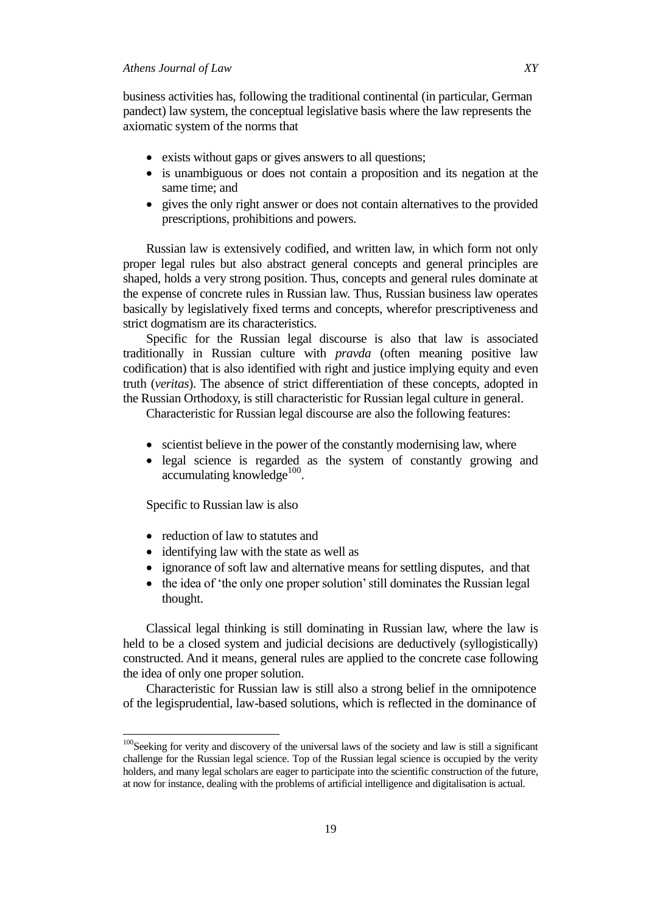business activities has, following the traditional continental (in particular, German pandect) law system, the conceptual legislative basis where the law represents the axiomatic system of the norms that

- exists without gaps or gives answers to all questions;
- is unambiguous or does not contain a proposition and its negation at the same time; and
- gives the only right answer or does not contain alternatives to the provided prescriptions, prohibitions and powers.

Russian law is extensively codified, and written law, in which form not only proper legal rules but also abstract general concepts and general principles are shaped, holds a very strong position. Thus, concepts and general rules dominate at the expense of concrete rules in Russian law. Thus, Russian business law operates basically by legislatively fixed terms and concepts, wherefor prescriptiveness and strict dogmatism are its characteristics.

Specific for the Russian legal discourse is also that law is associated traditionally in Russian culture with *pravda* (often meaning positive law codification) that is also identified with right and justice implying equity and even truth (*veritas*). The absence of strict differentiation of these concepts, adopted in the Russian Orthodoxy, is still characteristic for Russian legal culture in general.

Characteristic for Russian legal discourse are also the following features:

- scientist believe in the power of the constantly modernising law, where
- legal science is regarded as the system of constantly growing and accumulating knowledge<sup>100</sup>.

Specific to Russian law is also

 $\overline{a}$ 

- reduction of law to statutes and
- identifying law with the state as well as
- ignorance of soft law and alternative means for settling disputes, and that
- the idea of 'the only one proper solution' still dominates the Russian legal thought.

Classical legal thinking is still dominating in Russian law, where the law is held to be a closed system and judicial decisions are deductively (syllogistically) constructed. And it means, general rules are applied to the concrete case following the idea of only one proper solution.

Characteristic for Russian law is still also a strong belief in the omnipotence of the legisprudential, law-based solutions, which is reflected in the dominance of

<sup>&</sup>lt;sup>100</sup>Seeking for verity and discovery of the universal laws of the society and law is still a significant challenge for the Russian legal science. Top of the Russian legal science is occupied by the verity holders, and many legal scholars are eager to participate into the scientific construction of the future, at now for instance, dealing with the problems of artificial intelligence and digitalisation is actual.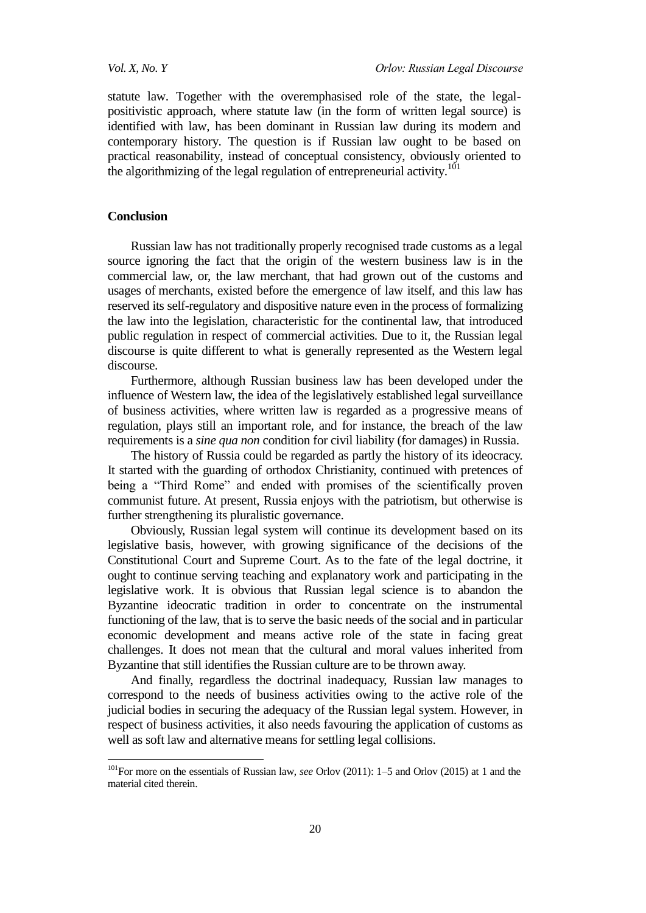statute law. Together with the overemphasised role of the state, the legalpositivistic approach, where statute law (in the form of written legal source) is identified with law, has been dominant in Russian law during its modern and contemporary history. The question is if Russian law ought to be based on practical reasonability, instead of conceptual consistency, obviously oriented to the algorithmizing of the legal regulation of entrepreneurial activity.<sup>101</sup>

#### **Conclusion**

 $\overline{a}$ 

Russian law has not traditionally properly recognised trade customs as a legal source ignoring the fact that the origin of the western business law is in the commercial law, or, the law merchant, that had grown out of the customs and usages of merchants, existed before the emergence of law itself, and this law has reserved its self-regulatory and dispositive nature even in the process of formalizing the law into the legislation, characteristic for the continental law, that introduced public regulation in respect of commercial activities. Due to it, the Russian legal discourse is quite different to what is generally represented as the Western legal discourse.

Furthermore, although Russian business law has been developed under the influence of Western law, the idea of the legislatively established legal surveillance of business activities, where written law is regarded as a progressive means of regulation, plays still an important role, and for instance, the breach of the law requirements is a *sine qua non* condition for civil liability (for damages) in Russia.

The history of Russia could be regarded as partly the history of its ideocracy. It started with the guarding of orthodox Christianity, continued with pretences of being a "Third Rome" and ended with promises of the scientifically proven communist future. At present, Russia enjoys with the patriotism, but otherwise is further strengthening its pluralistic governance.

Obviously, Russian legal system will continue its development based on its legislative basis, however, with growing significance of the decisions of the Constitutional Court and Supreme Court. As to the fate of the legal doctrine, it ought to continue serving teaching and explanatory work and participating in the legislative work. It is obvious that Russian legal science is to abandon the Byzantine ideocratic tradition in order to concentrate on the instrumental functioning of the law, that is to serve the basic needs of the social and in particular economic development and means active role of the state in facing great challenges. It does not mean that the cultural and moral values inherited from Byzantine that still identifies the Russian culture are to be thrown away.

And finally, regardless the doctrinal inadequacy, Russian law manages to correspond to the needs of business activities owing to the active role of the judicial bodies in securing the adequacy of the Russian legal system. However, in respect of business activities, it also needs favouring the application of customs as well as soft law and alternative means for settling legal collisions.

<sup>101</sup>For more on the essentials of Russian law, *see* Orlov (2011): 1–5 and Orlov (2015) at 1 and the material cited therein.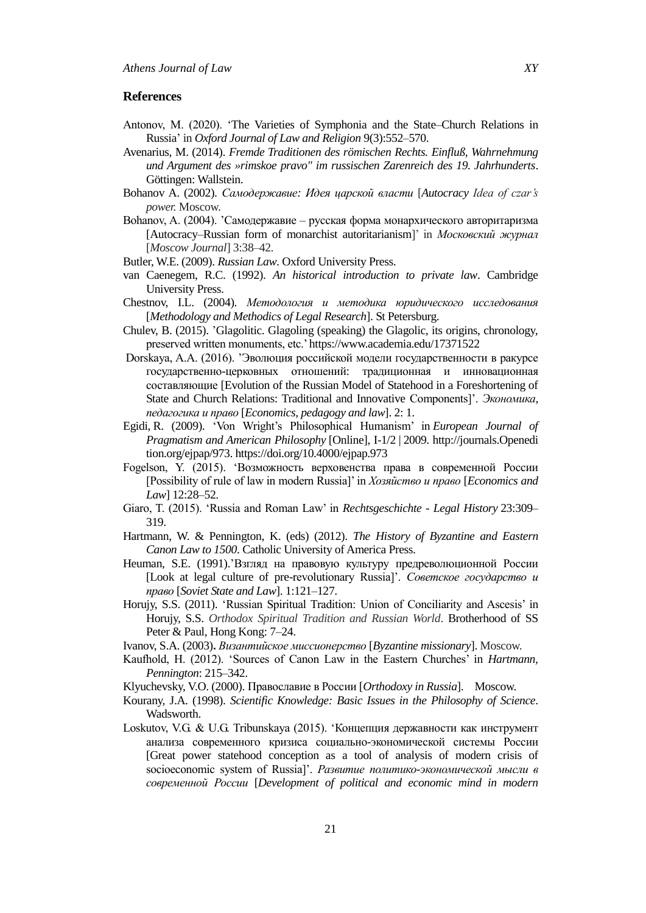### **References**

- Antonov, M. (2020). [‗The Varieties of Symphonia and the State–Church Relations in](https://www.researchgate.net/publication/348819891_The_Varieties_of_Symphonia_and_the_State-Church_Relations_in_Russia)  [Russia'](https://www.researchgate.net/publication/348819891_The_Varieties_of_Symphonia_and_the_State-Church_Relations_in_Russia) in *Oxford Journal of Law and Religion* 9(3):552–570.
- Avenarius, M. (2014). *Fremde Traditionen des römischen Rechts. Einfluß, Wahrnehmung und Argument des »rimskoe pravo" im russischen Zarenreich des 19. Jahrhunderts*. Göttingen: Wallstein.
- Bohanov A. (2002). *Самодержавие: Идея царской власти* [*Autocracy Idea of czar's power.* Moscow.
- Bohanov, A. (2004). 'Самодержавие русская форма монархического авторитаризма [Autocracy–Russian form of monarchist autoritarianism]' in *Московский журнал* [*Moscow Journal*] 3:38–42.
- Butler, W.E. (2009). *Russian Law*. Oxford University Press.
- van Caenegem, R.C. (1992). *An historical introduction to private law*. Cambridge University Press.
- Chestnov, I.L. (2004). *Методология и методика юридического исследования* [*Methodology and Methodics of Legal Research*]. St Petersburg.
- Chulev, B. (2015). 'Glagolitic. Glagoling (speaking) the Glagolic, its origins, chronology, preserved written monuments, etc.[' https://www.academia.edu/17371522](https://www.academia.edu/17371522)
- Dorskaya, A.A. (2016). 'Эволюция российской модели государственности в ракурсе государственно-церковных отношений: традиционная и инновационная составляющие [Evolution of the Russian Model of Statehood in a Foreshortening of State and Church Relations: Traditional and Innovative Components]'. *Экономика, педагогика и право* [*Economics, pedagogy and law*]. 2: 1.
- Egidi, R. (2009). ‗Von Wright's Philosophical Humanism' in *European Journal of Pragmatism and American Philosophy* [Online], I-1/2 | 2009. http://journals.Openedi tion.org/ejpap/973. https://doi.org/10.4000/ejpap.973
- Fogelson, Y. (2015). ‗Возможность верховенства права в современной России [Possibility of rule of law in modern Russia]' in *Хозяйство и право* [*Economics and Law*] 12:28–52.
- Giaro, T. (2015). ‗Russia and Roman Law' in *[Rechtsgeschichte -](https://www.researchgate.net/journal/Rechtsgeschichte-Legal-History-1619-4993) Legal History* 23:309– 319.
- Hartmann, W. & Pennington, K. (eds) (2012). *The History of Byzantine and Eastern Canon Law to 1500*. Catholic University of America Press.
- Heuman, S.E. (1991).'Взгляд на правовую культуру предреволюционной России [Look at legal culture of pre-revolutionary Russia]'. *[Советское государство и](https://unis.shpl.ru/Pages/Search/BookInfo.aspx?Id=1324848)  [право](https://unis.shpl.ru/Pages/Search/BookInfo.aspx?Id=1324848)* [*Soviet State and Law*]. 1:121–127.
- Horujy, S.S. (2011). 'Russian Spiritual Tradition: Union of Conciliarity and Ascesis' in Horujy, S.S. *Orthodox Spiritual Tradition and Russian World*. Brotherhood of SS Peter & Paul, Hong Kong: 7–24.
- Ivanov, S.A. (2003)**.** *Византийское миссионерство* [*Byzantine missionary*]. Moscow.
- Kaufhold, H. (2012). ‗Sources of Canon Law in the Eastern Churches' in *Hartmann, Pennington*: 215–342.
- Klyuchevsky, V.O. (2000). Православие в России [*Orthodoxy in Russia*]. Moscow.
- Kourany, J.A. (1998). *Scientific Knowledge: Basic Issues in the Philosophy of Science*. Wadsworth.
- Loskutov, V.G. & U.G. Tribunskaya (2015). 'Концепция державности как инструмент анализа современного кризиса социально-экономической системы России [Great power statehood conception as a tool of analysis of modern crisis of socioeconomic system of Russia]'. *Развитие политико-экономической мысли в современной России* [*Development of political and economic mind in modern*